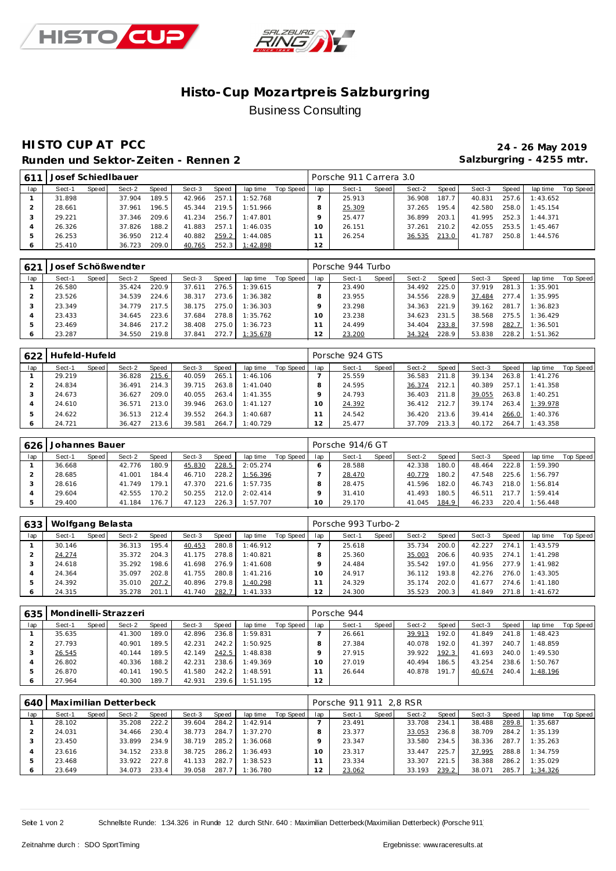



# **Histo-Cup Mozartpre is Salzburgring** Business Consulting

### **HISTO CUP AT PCC 24 - 26 May 2019** Runden und Sektor-Zeiten - Rennen 2 **bis Einer Steiter Schwarter Steiter** Salzburgring - 4255 mtr.

| $61^{\degree}$ | Josef Schied Ibauer |       |        |       |        |       |          |           |     | Porsche 911 Carrera 3.0 |       |        |       |        |       |          |           |
|----------------|---------------------|-------|--------|-------|--------|-------|----------|-----------|-----|-------------------------|-------|--------|-------|--------|-------|----------|-----------|
| lap            | Sect-1              | Speed | Sect-2 | Speed | Sect-3 | Speed | lap time | Top Speed | lap | Sect-1                  | Speed | Sect-2 | Speed | Sect-3 | Speed | lap time | Top Speed |
|                | 31.898              |       | 37.904 | 189.5 | 42.966 | 257.1 | 1:52.768 |           |     | 25.913                  |       | 36.908 | 187.7 | 40.831 | 257.6 | 1:43.652 |           |
|                | 28.661              |       | 37.961 | 196.5 | 45.344 | 219.5 | 1:51.966 |           |     | 25.309                  |       | 37.265 | 195.4 | 42.580 | 258.0 | 1:45.154 |           |
|                | 29.221              |       | 37.346 | 209.6 | 41.234 | 256.7 | 1:47.801 |           |     | 25.477                  |       | 36.899 | 203.1 | 41.995 | 252.3 | 1:44.371 |           |
|                | 26.326              |       | 37.826 | 188.2 | 41.883 | 257.1 | 1:46.035 |           |     | 26.151                  |       | 37.261 | 210.2 | 42.055 | 253.5 | 1:45.467 |           |
|                | 26.253              |       | 36.950 | 212.4 | 40.882 | 259.2 | 1:44.085 |           |     | 26.254                  |       | 36.535 | 213.0 | 41.787 | 250.8 | 1:44.576 |           |
|                | 25.410              |       | 36.723 | 209.0 | 40.765 | 252.3 | 1:42.898 |           | 12  |                         |       |        |       |        |       |          |           |

| 62 <sup>1</sup> |        |       | Josef Schößwendter |       |        |       |          |           |     | Porsche 944 Turbo |       |        |         |        |       |          |           |
|-----------------|--------|-------|--------------------|-------|--------|-------|----------|-----------|-----|-------------------|-------|--------|---------|--------|-------|----------|-----------|
| lap             | Sect-1 | Speed | Sect-2             | Speed | Sect-3 | Speed | lap time | Top Speed | lap | Sect-1            | Speed | Sect-2 | Speed I | Sect-3 | Speed | lap time | Top Speed |
|                 | 26.580 |       | 35.424             | 220.9 | 37.611 | 276.5 | 1:39.615 |           |     | 23.490            |       | 34.492 | 225.0   | 37.919 | 281.3 | 1:35.901 |           |
|                 | 23.526 |       | 34.539             | 224.6 | 38.317 | 273.6 | 1:36.382 |           |     | 23.955            |       | 34.556 | 228.9   | 37.484 | 277.4 | 1:35.995 |           |
|                 | 23.349 |       | 34 779             | 217.5 | 38.175 | 275.0 | 1:36.303 |           |     | 23.298            |       | 34.363 | 221.9   | 39.162 | 281.7 | 1:36.823 |           |
|                 | 23.433 |       | 34.645             | 223.6 | 37.684 | 278.8 | 1:35.762 |           |     | 23.238            |       | 34.623 | 231.5   | 38.568 | 275.5 | 1:36.429 |           |
|                 | 23.469 |       | 34.846             | 217.2 | 38.408 | 275.0 | 1:36.723 |           |     | 24.499            |       | 34.404 | 233.8   | 37.598 | 282.7 | 1:36.501 |           |
|                 | 23.287 |       | 34.550             | 219.8 | 37.841 | 272.7 | 1:35.678 |           | 12  | 23.200            |       | 34.324 | 228.9   | 53.838 | 228.2 | 1:51.362 |           |

| 622 | Hufeld-Hufeld |       |        |       |        |       |          |           |     | Porsche 924 GTS |       |        |       |        |       |          |           |
|-----|---------------|-------|--------|-------|--------|-------|----------|-----------|-----|-----------------|-------|--------|-------|--------|-------|----------|-----------|
| lap | Sect-1        | Speed | Sect-2 | Speed | Sect-3 | Speed | lap time | Top Speed | lap | Sect-1          | Speed | Sect-2 | Speed | Sect-3 | Speed | lap time | Top Speed |
|     | 29.219        |       | 36.828 | 215.6 | 40.059 | 265.1 | 1:46.106 |           |     | 25.559          |       | 36.583 | 211.8 | 39.134 | 263.8 | 1:41.276 |           |
|     | 24.834        |       | 36.491 | 214.3 | 39.715 | 263.8 | 1:41.040 |           |     | 24.595          |       | 36.374 | 212.1 | 40.389 | 257.1 | 1:41.358 |           |
|     | 24.673        |       | 36.627 | 209.0 | 40.055 | 263.4 | 1:41.355 |           |     | 24.793          |       | 36.403 | 211.8 | 39.055 | 263.8 | 1:40.251 |           |
|     | 24.610        |       | 36.571 | 213.0 | 39.946 | 263.0 | 1:41.127 |           |     | 24.392          |       | 36.412 | 212.7 | 39.174 | 263.4 | 1:39.978 |           |
|     | 24.622        |       | 36.513 | 212.4 | 39.552 | 264.3 | 1:40.687 |           |     | 24.542          |       | 36.420 | 213.6 | 39.414 | 266.0 | 1:40.376 |           |
|     | 24.721        |       | 36.427 | 213.6 | 39.581 | 264.7 | 1:40.729 |           | 12  | 25.477          |       | 37.709 | 213.3 | 40.172 | 264.7 | 1:43.358 |           |

| 626 | Johannes Bauer |       |        |       |        |       |          |           |     | Porsche 914/6 GT |       |        |       |        |       |          |           |
|-----|----------------|-------|--------|-------|--------|-------|----------|-----------|-----|------------------|-------|--------|-------|--------|-------|----------|-----------|
| lap | Sect-1         | Speed | Sect-2 | Speed | Sect-3 | Speed | lap time | Top Speed | lap | Sect-1           | Speed | Sect-2 | Speed | Sect-3 | Speed | lap time | Top Speed |
|     | 36.668         |       | 42.776 | 180.9 | 45.830 | 228.5 | 2:05.274 |           |     | 28.588           |       | 42.338 | 180.0 | 48.464 | 222.8 | 1:59.390 |           |
|     | 28.685         |       | 41.001 | 184.4 | 46.710 | 228.2 | 1:56.396 |           |     | 28.470           |       | 40.779 | 180.2 | 47.548 | 225.6 | 1:56.797 |           |
|     | 28.616         |       | 41.749 | 179.1 | 47.370 | 221.6 | 1:57.735 |           |     | 28.475           |       | 41.596 | 182.0 | 46.743 | 218.0 | 1:56.814 |           |
|     | 29.604         |       | 42.555 | 170.2 | 50.255 | 212.0 | 2:02.414 |           |     | 31.410           |       | 41.493 | 180.5 | 46.511 | 217.7 | 1:59.414 |           |
|     | 29.400         |       | 41.184 | 176.7 | 47.123 | 226.3 | 1:57.707 |           | 10  | 29.170           |       | 41.045 | 184.9 | 46.233 | 220.4 | 1:56.448 |           |

| 633 | Wolfgang Belasta |       |        |                    |        |       |          |           |          | Porsche 993 Turbo-2 |       |        |       |        |       |          |           |
|-----|------------------|-------|--------|--------------------|--------|-------|----------|-----------|----------|---------------------|-------|--------|-------|--------|-------|----------|-----------|
| lap | Sect-1           | Speed | Sect-2 | Speed              | Sect-3 | Speed | lap time | Top Speed | lap      | Sect-1              | Speed | Sect-2 | Speed | Sect-3 | Speed | lap time | Top Speed |
|     | 30.146           |       | 36.313 | 195.4              | 40.453 | 280.8 | 1:46.912 |           |          | 25.618              |       | 35.734 | 200.0 | 42.227 | 274.7 | 1:43.579 |           |
|     | 24.274           |       | 35.372 | 204.3              | 41.175 | 278.8 | 1:40.821 |           |          | 25.360              |       | 35.003 | 206.6 | 40.935 | 274.1 | 1:41.298 |           |
|     | 24.618           |       | 35.292 | 198.6 <sub>1</sub> | 41.698 | 276.9 | 1:41.608 |           |          | 24.484              |       | 35.542 | 197.0 | 41.956 | 277.9 | 1:41.982 |           |
|     | 24.364           |       | 35.097 | 202.8              | 41.755 | 280.8 | 1:41.216 |           | $\Omega$ | 24.917              |       | 36.112 | 193.8 | 42.276 | 276.0 | 1:43.305 |           |
|     | 24.392           |       | 35.010 | 207.2              | 40.896 | 279.8 | 1:40.298 |           |          | 24.329              |       | 35.174 | 202.0 | 41.677 | 274.6 | 1:41.180 |           |
| O   | 24.315           |       | 35.278 | 201.1              | 41.740 | 282.7 | 1:41.333 |           |          | 24.300              |       | 35.523 | 200.3 | 41.849 | 271.8 | 1:41.672 |           |

| 635 |        |       | Mondinelli-Strazzeri |       |        |       |          |           |     | Porsche 944 |       |        |                       |        |       |          |           |
|-----|--------|-------|----------------------|-------|--------|-------|----------|-----------|-----|-------------|-------|--------|-----------------------|--------|-------|----------|-----------|
| lap | Sect-1 | Speed | Sect-2               | Speed | Sect-3 | Speed | lap time | Top Speed | lap | Sect-1      | Speed | Sect-2 | Speed                 | Sect-3 | Speed | lap time | Top Speed |
|     | 35.635 |       | 41.300               | 189.0 | 42.896 | 236.8 | 1:59.831 |           |     | 26.661      |       | 39.913 | 192.0                 | 41.849 | 241.8 | 1:48.423 |           |
|     | 27.793 |       | 40.901               | 189.5 | 42.231 | 242.2 | 1:50.925 |           |     | 27.384      |       | 40.078 | 192.0                 | 41.397 | 240.7 | 1:48.859 |           |
| 3   | 26.545 |       | 40.144               | 189.5 | 42.149 | 242.5 | 1:48.838 |           |     | 27.915      |       | 39.922 | 192.3                 | 41.693 | 240.0 | 1:49.530 |           |
| 4   | 26.802 |       | 40.336               | 188.2 | 42.231 | 238.6 | 1:49.369 |           | 10  | 27.019      |       | 40.494 | 186.5                 | 43.254 | 238.6 | 1:50.767 |           |
| 5   | 26.870 |       | 40.141               | 190.5 | 41.580 | 242.2 | 1:48.591 |           |     | 26.644      |       | 40.878 | 191<br>7 <sub>1</sub> | 40.674 | 240.4 | 1:48.196 |           |
| O   | 27.964 |       | 40.300               | 189.7 | 42.931 | 239.6 | 1:51.195 |           | 12  |             |       |        |                       |        |       |          |           |

|     | 640   Maximilian Detterbeck |       |        |       |        |       |          |           |                | Porsche 911 911 2.8 RSR |       |        |       |        |       |          |           |
|-----|-----------------------------|-------|--------|-------|--------|-------|----------|-----------|----------------|-------------------------|-------|--------|-------|--------|-------|----------|-----------|
| lap | Sect-1                      | Speed | Sect-2 | Speed | Sect-3 | Speed | lap time | Top Speed | lap            | Sect-1                  | Speed | Sect-2 | Speed | Sect-3 | Speed | lap time | Top Speed |
|     | 28.102                      |       | 35.208 | 222.2 | 39.604 | 284.2 | 1:42.914 |           |                | 23.491                  |       | 33.708 | 234.1 | 38.488 | 289.8 | 1:35.687 |           |
|     | 24.031                      |       | 34.466 | 230.4 | 38.773 | 284.7 | 1:37.270 |           |                | 23.377                  |       | 33.053 | 236.8 | 38.709 | 284.2 | 1:35.139 |           |
|     | 23.450                      |       | 33.899 | 234.9 | 38.719 | 285.2 | 1:36.068 |           |                | 23.347                  |       | 33.580 | 234.5 | 38.336 | 287.7 | 1:35.263 |           |
|     | 23.616                      |       | 34.152 | 233.8 | 38.725 | 286.2 | 1:36.493 |           |                | 23.317                  |       | 33.447 | 225.7 | 37.995 | 288.8 | 1:34.759 |           |
|     | 23.468                      |       | 33.922 | 227.8 | 41.133 | 282.7 | 1:38.523 |           |                | 23.334                  |       | 33.307 | 221.5 | 38.388 | 286.2 | 1:35.029 |           |
| O   | 23.649                      |       | 34.073 | 233.4 | 39.058 | 287.7 | 1:36.780 |           | $\bigcap$<br>∠ | 23.062                  |       | 33.193 | 239.2 | 38.071 | 285.7 | 1:34.326 |           |

Seite 1 von 2 Schnellste Runde: 1:34.326 in Runde 12 durch StNr. 640 : Maximilian Detterbeck(Maximilian Detterbeck) (Porsche 911)